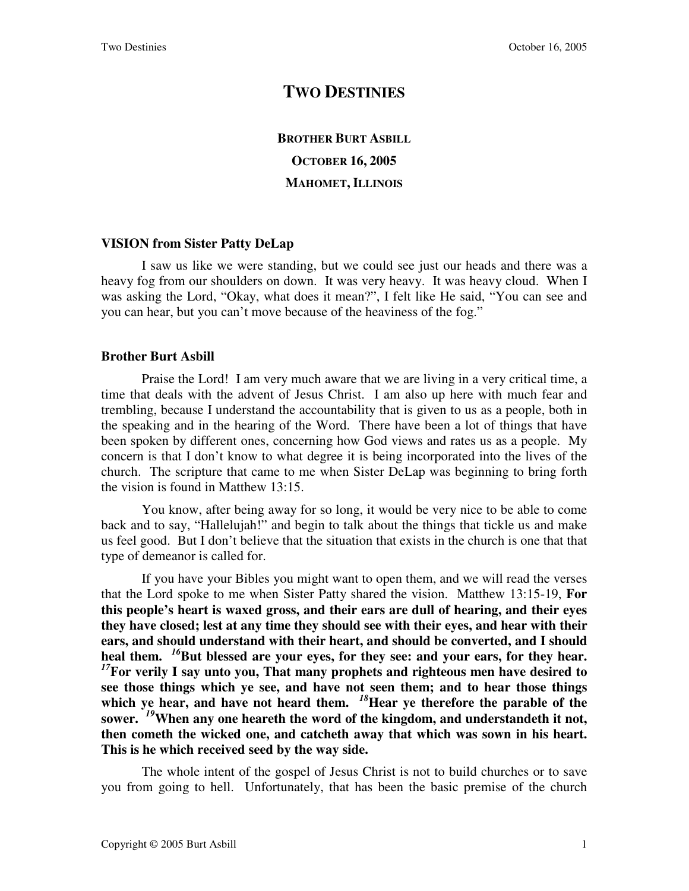## **TWO DESTINIES**

## **BROTHER BURT ASBILL OCTOBER 16, 2005 MAHOMET, ILLINOIS**

## **VISION from Sister Patty DeLap**

I saw us like we were standing, but we could see just our heads and there was a heavy fog from our shoulders on down. It was very heavy. It was heavy cloud. When I was asking the Lord, "Okay, what does it mean?", I felt like He said, "You can see and you can hear, but you can't move because of the heaviness of the fog."

## **Brother Burt Asbill**

Praise the Lord! I am very much aware that we are living in a very critical time, a time that deals with the advent of Jesus Christ. I am also up here with much fear and trembling, because I understand the accountability that is given to us as a people, both in the speaking and in the hearing of the Word. There have been a lot of things that have been spoken by different ones, concerning how God views and rates us as a people. My concern is that I don't know to what degree it is being incorporated into the lives of the church. The scripture that came to me when Sister DeLap was beginning to bring forth the vision is found in Matthew 13:15.

You know, after being away for so long, it would be very nice to be able to come back and to say, "Hallelujah!" and begin to talk about the things that tickle us and make us feel good. But I don't believe that the situation that exists in the church is one that that type of demeanor is called for.

If you have your Bibles you might want to open them, and we will read the verses that the Lord spoke to me when Sister Patty shared the vision. Matthew 13:15-19, **For this people's heart is waxed gross, and their ears are dull of hearing, and their eyes they have closed; lest at any time they should see with their eyes, and hear with their ears, and should understand with their heart, and should be converted, and I should heal them.** *<sup>16</sup>***But blessed are your eyes, for they see: and your ears, for they hear.**  *<sup>17</sup>***For verily I say unto you, That many prophets and righteous men have desired to see those things which ye see, and have not seen them; and to hear those things**  which ye hear, and have not heard them. <sup>18</sup>*Hear ye therefore the parable of the* **sower.** *<sup>19</sup>***When any one heareth the word of the kingdom, and understandeth it not, then cometh the wicked one, and catcheth away that which was sown in his heart. This is he which received seed by the way side.**

The whole intent of the gospel of Jesus Christ is not to build churches or to save you from going to hell. Unfortunately, that has been the basic premise of the church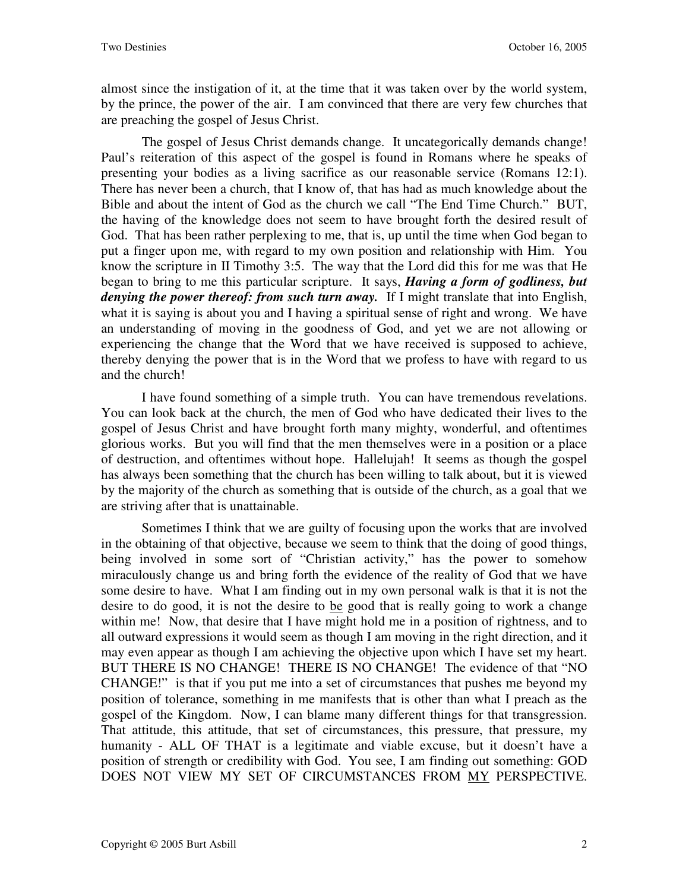almost since the instigation of it, at the time that it was taken over by the world system, by the prince, the power of the air. I am convinced that there are very few churches that are preaching the gospel of Jesus Christ.

The gospel of Jesus Christ demands change. It uncategorically demands change! Paul's reiteration of this aspect of the gospel is found in Romans where he speaks of presenting your bodies as a living sacrifice as our reasonable service (Romans 12:1). There has never been a church, that I know of, that has had as much knowledge about the Bible and about the intent of God as the church we call "The End Time Church." BUT, the having of the knowledge does not seem to have brought forth the desired result of God. That has been rather perplexing to me, that is, up until the time when God began to put a finger upon me, with regard to my own position and relationship with Him. You know the scripture in II Timothy 3:5. The way that the Lord did this for me was that He began to bring to me this particular scripture. It says, *Having a form of godliness, but denying the power thereof: from such turn away.* If I might translate that into English, what it is saying is about you and I having a spiritual sense of right and wrong. We have an understanding of moving in the goodness of God, and yet we are not allowing or experiencing the change that the Word that we have received is supposed to achieve, thereby denying the power that is in the Word that we profess to have with regard to us and the church!

I have found something of a simple truth. You can have tremendous revelations. You can look back at the church, the men of God who have dedicated their lives to the gospel of Jesus Christ and have brought forth many mighty, wonderful, and oftentimes glorious works. But you will find that the men themselves were in a position or a place of destruction, and oftentimes without hope. Hallelujah! It seems as though the gospel has always been something that the church has been willing to talk about, but it is viewed by the majority of the church as something that is outside of the church, as a goal that we are striving after that is unattainable.

Sometimes I think that we are guilty of focusing upon the works that are involved in the obtaining of that objective, because we seem to think that the doing of good things, being involved in some sort of "Christian activity," has the power to somehow miraculously change us and bring forth the evidence of the reality of God that we have some desire to have. What I am finding out in my own personal walk is that it is not the desire to do good, it is not the desire to be good that is really going to work a change within me! Now, that desire that I have might hold me in a position of rightness, and to all outward expressions it would seem as though I am moving in the right direction, and it may even appear as though I am achieving the objective upon which I have set my heart. BUT THERE IS NO CHANGE! THERE IS NO CHANGE! The evidence of that "NO CHANGE!" is that if you put me into a set of circumstances that pushes me beyond my position of tolerance, something in me manifests that is other than what I preach as the gospel of the Kingdom. Now, I can blame many different things for that transgression. That attitude, this attitude, that set of circumstances, this pressure, that pressure, my humanity - ALL OF THAT is a legitimate and viable excuse, but it doesn't have a position of strength or credibility with God. You see, I am finding out something: GOD DOES NOT VIEW MY SET OF CIRCUMSTANCES FROM MY PERSPECTIVE.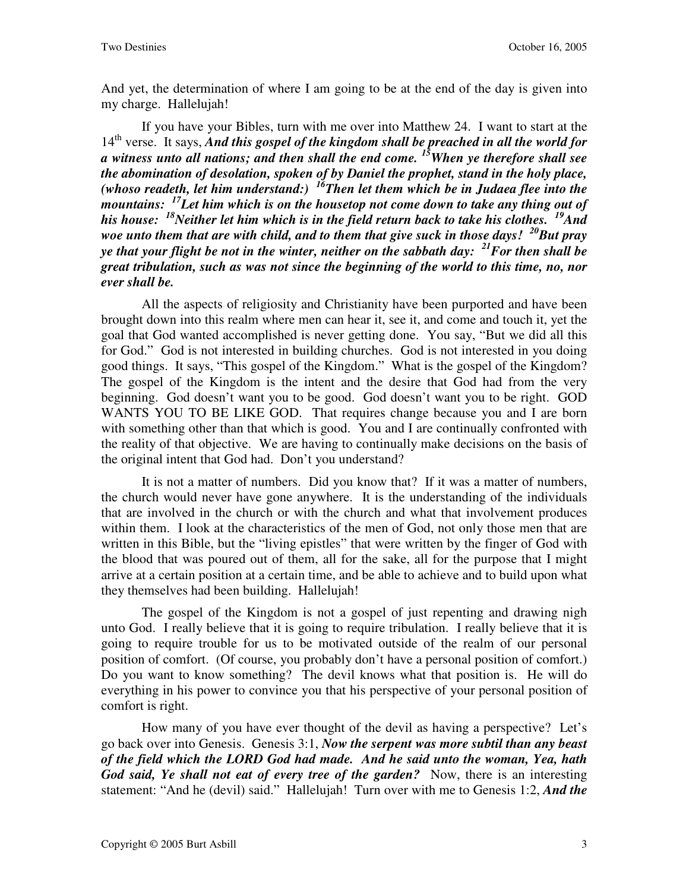And yet, the determination of where I am going to be at the end of the day is given into my charge. Hallelujah!

If you have your Bibles, turn with me over into Matthew 24. I want to start at the 14<sup>th</sup> verse. It says, *And this gospel of the kingdom shall be preached in all the world for a witness unto all nations; and then shall the end come. <sup>15</sup>When ye therefore shall see the abomination of desolation, spoken of by Daniel the prophet, stand in the holy place, (whoso readeth, let him understand:) <sup>16</sup>Then let them which be in Judaea flee into the mountains: <sup>17</sup>Let him which is on the housetop not come down to take any thing out of his house: <sup>18</sup>Neither let him which is in the field return back to take his clothes. <sup>19</sup>And woe unto them that are with child, and to them that give suck in those days! <sup>20</sup>But pray ye that your flight be not in the winter, neither on the sabbath day: <sup>21</sup>For then shall be great tribulation, such as was not since the beginning of the world to this time, no, nor ever shall be.*

All the aspects of religiosity and Christianity have been purported and have been brought down into this realm where men can hear it, see it, and come and touch it, yet the goal that God wanted accomplished is never getting done. You say, "But we did all this for God." God is not interested in building churches. God is not interested in you doing good things. It says, "This gospel of the Kingdom." What is the gospel of the Kingdom? The gospel of the Kingdom is the intent and the desire that God had from the very beginning. God doesn't want you to be good. God doesn't want you to be right. GOD WANTS YOU TO BE LIKE GOD. That requires change because you and I are born with something other than that which is good. You and I are continually confronted with the reality of that objective. We are having to continually make decisions on the basis of the original intent that God had. Don't you understand?

It is not a matter of numbers. Did you know that? If it was a matter of numbers, the church would never have gone anywhere. It is the understanding of the individuals that are involved in the church or with the church and what that involvement produces within them. I look at the characteristics of the men of God, not only those men that are written in this Bible, but the "living epistles" that were written by the finger of God with the blood that was poured out of them, all for the sake, all for the purpose that I might arrive at a certain position at a certain time, and be able to achieve and to build upon what they themselves had been building. Hallelujah!

The gospel of the Kingdom is not a gospel of just repenting and drawing nigh unto God. I really believe that it is going to require tribulation. I really believe that it is going to require trouble for us to be motivated outside of the realm of our personal position of comfort. (Of course, you probably don't have a personal position of comfort.) Do you want to know something? The devil knows what that position is. He will do everything in his power to convince you that his perspective of your personal position of comfort is right.

How many of you have ever thought of the devil as having a perspective? Let's go back over into Genesis. Genesis 3:1, *Now the serpent was more subtil than any beast of the field which the LORD God had made. And he said unto the woman, Yea, hath God said, Ye shall not eat of every tree of the garden?* Now, there is an interesting statement: "And he (devil) said." Hallelujah! Turn over with me to Genesis 1:2, *And the*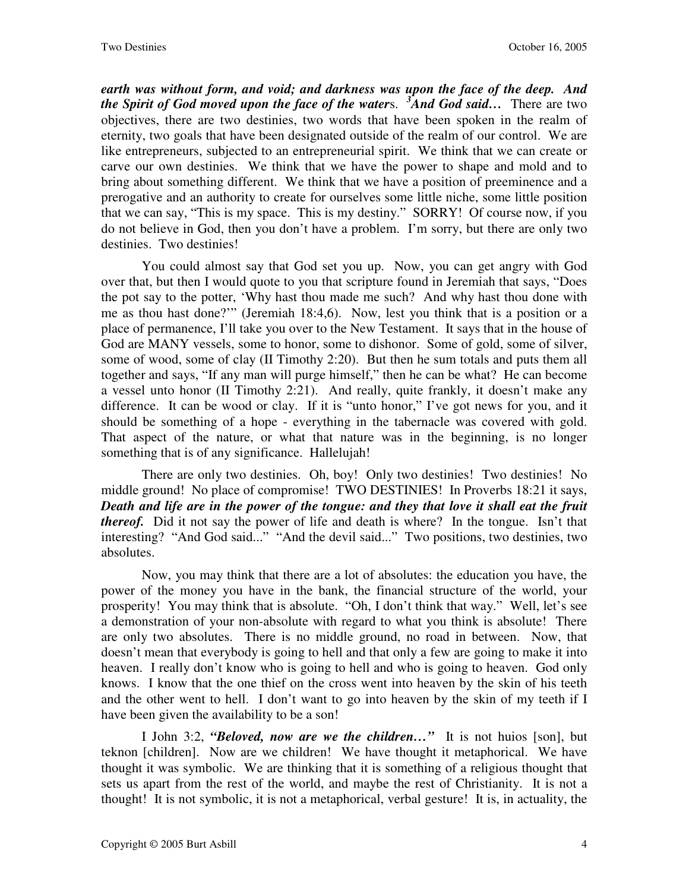*earth was without form, and void; and darkness was upon the face of the deep. And the Spirit of God moved upon the face of the water*s. *<sup>3</sup>And God said…* There are two objectives, there are two destinies, two words that have been spoken in the realm of eternity, two goals that have been designated outside of the realm of our control. We are like entrepreneurs, subjected to an entrepreneurial spirit. We think that we can create or carve our own destinies. We think that we have the power to shape and mold and to bring about something different. We think that we have a position of preeminence and a prerogative and an authority to create for ourselves some little niche, some little position that we can say, "This is my space. This is my destiny." SORRY! Of course now, if you do not believe in God, then you don't have a problem. I'm sorry, but there are only two destinies. Two destinies!

You could almost say that God set you up. Now, you can get angry with God over that, but then I would quote to you that scripture found in Jeremiah that says, "Does the pot say to the potter, 'Why hast thou made me such? And why hast thou done with me as thou hast done?'" (Jeremiah 18:4,6). Now, lest you think that is a position or a place of permanence, I'll take you over to the New Testament. It says that in the house of God are MANY vessels, some to honor, some to dishonor. Some of gold, some of silver, some of wood, some of clay (II Timothy 2:20). But then he sum totals and puts them all together and says, "If any man will purge himself," then he can be what? He can become a vessel unto honor (II Timothy 2:21). And really, quite frankly, it doesn't make any difference. It can be wood or clay. If it is "unto honor," I've got news for you, and it should be something of a hope - everything in the tabernacle was covered with gold. That aspect of the nature, or what that nature was in the beginning, is no longer something that is of any significance. Hallelujah!

There are only two destinies. Oh, boy! Only two destinies! Two destinies! No middle ground! No place of compromise! TWO DESTINIES! In Proverbs 18:21 it says, *Death and life are in the power of the tongue: and they that love it shall eat the fruit thereof.* Did it not say the power of life and death is where? In the tongue. Isn't that interesting? "And God said..." "And the devil said..." Two positions, two destinies, two absolutes.

Now, you may think that there are a lot of absolutes: the education you have, the power of the money you have in the bank, the financial structure of the world, your prosperity! You may think that is absolute. "Oh, I don't think that way." Well, let's see a demonstration of your non-absolute with regard to what you think is absolute! There are only two absolutes. There is no middle ground, no road in between. Now, that doesn't mean that everybody is going to hell and that only a few are going to make it into heaven. I really don't know who is going to hell and who is going to heaven. God only knows. I know that the one thief on the cross went into heaven by the skin of his teeth and the other went to hell. I don't want to go into heaven by the skin of my teeth if I have been given the availability to be a son!

I John 3:2, *"Beloved, now are we the children…"* It is not huios [son], but teknon [children]. Now are we children! We have thought it metaphorical. We have thought it was symbolic. We are thinking that it is something of a religious thought that sets us apart from the rest of the world, and maybe the rest of Christianity. It is not a thought! It is not symbolic, it is not a metaphorical, verbal gesture! It is, in actuality, the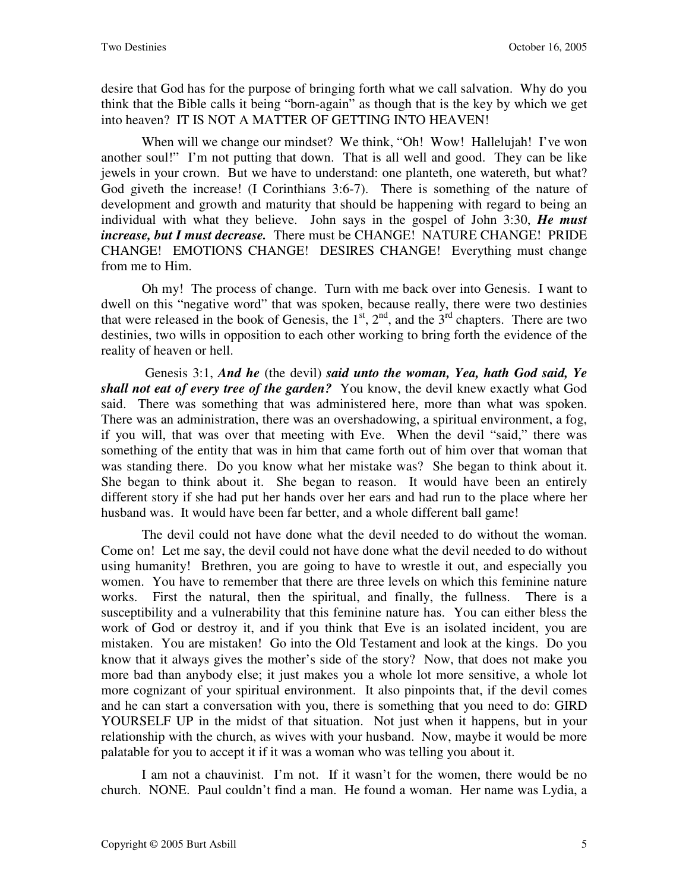desire that God has for the purpose of bringing forth what we call salvation. Why do you think that the Bible calls it being "born-again" as though that is the key by which we get into heaven? IT IS NOT A MATTER OF GETTING INTO HEAVEN!

When will we change our mindset? We think, "Oh! Wow! Hallelujah! I've won another soul!" I'm not putting that down. That is all well and good. They can be like jewels in your crown. But we have to understand: one planteth, one watereth, but what? God giveth the increase! (I Corinthians 3:6-7). There is something of the nature of development and growth and maturity that should be happening with regard to being an individual with what they believe. John says in the gospel of John 3:30, *He must increase, but I must decrease.* There must be CHANGE! NATURE CHANGE! PRIDE CHANGE! EMOTIONS CHANGE! DESIRES CHANGE! Everything must change from me to Him.

Oh my! The process of change. Turn with me back over into Genesis. I want to dwell on this "negative word" that was spoken, because really, there were two destinies that were released in the book of Genesis, the  $1<sup>st</sup>$ ,  $2<sup>nd</sup>$ , and the  $3<sup>rd</sup>$  chapters. There are two destinies, two wills in opposition to each other working to bring forth the evidence of the reality of heaven or hell.

 Genesis 3:1, *And he* (the devil) *said unto the woman, Yea, hath God said, Ye shall not eat of every tree of the garden?* You know, the devil knew exactly what God said. There was something that was administered here, more than what was spoken. There was an administration, there was an overshadowing, a spiritual environment, a fog, if you will, that was over that meeting with Eve. When the devil "said," there was something of the entity that was in him that came forth out of him over that woman that was standing there. Do you know what her mistake was? She began to think about it. She began to think about it. She began to reason. It would have been an entirely different story if she had put her hands over her ears and had run to the place where her husband was. It would have been far better, and a whole different ball game!

The devil could not have done what the devil needed to do without the woman. Come on! Let me say, the devil could not have done what the devil needed to do without using humanity! Brethren, you are going to have to wrestle it out, and especially you women. You have to remember that there are three levels on which this feminine nature works. First the natural, then the spiritual, and finally, the fullness. There is a susceptibility and a vulnerability that this feminine nature has. You can either bless the work of God or destroy it, and if you think that Eve is an isolated incident, you are mistaken. You are mistaken! Go into the Old Testament and look at the kings. Do you know that it always gives the mother's side of the story? Now, that does not make you more bad than anybody else; it just makes you a whole lot more sensitive, a whole lot more cognizant of your spiritual environment. It also pinpoints that, if the devil comes and he can start a conversation with you, there is something that you need to do: GIRD YOURSELF UP in the midst of that situation. Not just when it happens, but in your relationship with the church, as wives with your husband. Now, maybe it would be more palatable for you to accept it if it was a woman who was telling you about it.

I am not a chauvinist. I'm not. If it wasn't for the women, there would be no church. NONE. Paul couldn't find a man. He found a woman. Her name was Lydia, a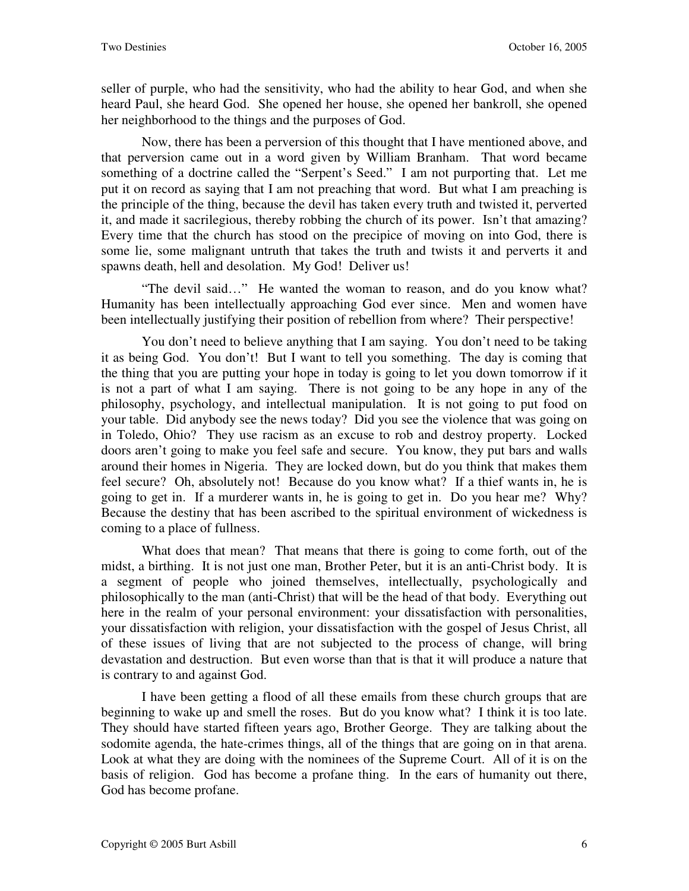seller of purple, who had the sensitivity, who had the ability to hear God, and when she heard Paul, she heard God. She opened her house, she opened her bankroll, she opened her neighborhood to the things and the purposes of God.

Now, there has been a perversion of this thought that I have mentioned above, and that perversion came out in a word given by William Branham. That word became something of a doctrine called the "Serpent's Seed." I am not purporting that. Let me put it on record as saying that I am not preaching that word. But what I am preaching is the principle of the thing, because the devil has taken every truth and twisted it, perverted it, and made it sacrilegious, thereby robbing the church of its power. Isn't that amazing? Every time that the church has stood on the precipice of moving on into God, there is some lie, some malignant untruth that takes the truth and twists it and perverts it and spawns death, hell and desolation. My God! Deliver us!

"The devil said…" He wanted the woman to reason, and do you know what? Humanity has been intellectually approaching God ever since. Men and women have been intellectually justifying their position of rebellion from where? Their perspective!

You don't need to believe anything that I am saying. You don't need to be taking it as being God. You don't! But I want to tell you something. The day is coming that the thing that you are putting your hope in today is going to let you down tomorrow if it is not a part of what I am saying. There is not going to be any hope in any of the philosophy, psychology, and intellectual manipulation. It is not going to put food on your table. Did anybody see the news today? Did you see the violence that was going on in Toledo, Ohio? They use racism as an excuse to rob and destroy property. Locked doors aren't going to make you feel safe and secure. You know, they put bars and walls around their homes in Nigeria. They are locked down, but do you think that makes them feel secure? Oh, absolutely not! Because do you know what? If a thief wants in, he is going to get in. If a murderer wants in, he is going to get in. Do you hear me? Why? Because the destiny that has been ascribed to the spiritual environment of wickedness is coming to a place of fullness.

What does that mean? That means that there is going to come forth, out of the midst, a birthing. It is not just one man, Brother Peter, but it is an anti-Christ body. It is a segment of people who joined themselves, intellectually, psychologically and philosophically to the man (anti-Christ) that will be the head of that body. Everything out here in the realm of your personal environment: your dissatisfaction with personalities, your dissatisfaction with religion, your dissatisfaction with the gospel of Jesus Christ, all of these issues of living that are not subjected to the process of change, will bring devastation and destruction. But even worse than that is that it will produce a nature that is contrary to and against God.

I have been getting a flood of all these emails from these church groups that are beginning to wake up and smell the roses. But do you know what? I think it is too late. They should have started fifteen years ago, Brother George. They are talking about the sodomite agenda, the hate-crimes things, all of the things that are going on in that arena. Look at what they are doing with the nominees of the Supreme Court. All of it is on the basis of religion. God has become a profane thing. In the ears of humanity out there, God has become profane.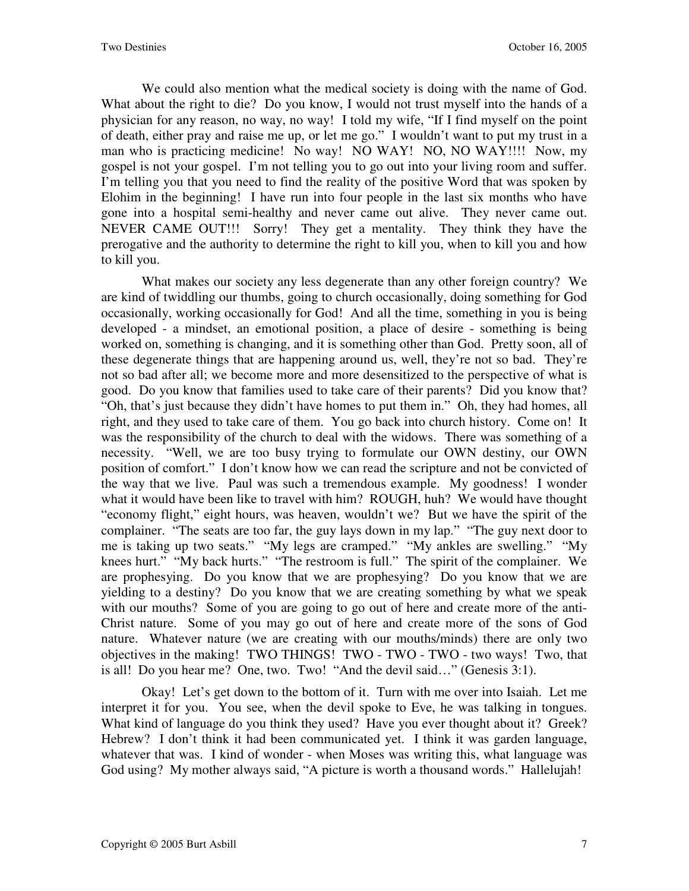We could also mention what the medical society is doing with the name of God. What about the right to die? Do you know, I would not trust myself into the hands of a physician for any reason, no way, no way! I told my wife, "If I find myself on the point of death, either pray and raise me up, or let me go." I wouldn't want to put my trust in a man who is practicing medicine! No way! NO WAY! NO, NO WAY!!!! Now, my gospel is not your gospel. I'm not telling you to go out into your living room and suffer. I'm telling you that you need to find the reality of the positive Word that was spoken by Elohim in the beginning! I have run into four people in the last six months who have gone into a hospital semi-healthy and never came out alive. They never came out. NEVER CAME OUT!!! Sorry! They get a mentality. They think they have the prerogative and the authority to determine the right to kill you, when to kill you and how to kill you.

What makes our society any less degenerate than any other foreign country? We are kind of twiddling our thumbs, going to church occasionally, doing something for God occasionally, working occasionally for God! And all the time, something in you is being developed - a mindset, an emotional position, a place of desire - something is being worked on, something is changing, and it is something other than God. Pretty soon, all of these degenerate things that are happening around us, well, they're not so bad. They're not so bad after all; we become more and more desensitized to the perspective of what is good. Do you know that families used to take care of their parents? Did you know that? "Oh, that's just because they didn't have homes to put them in." Oh, they had homes, all right, and they used to take care of them. You go back into church history. Come on! It was the responsibility of the church to deal with the widows. There was something of a necessity. "Well, we are too busy trying to formulate our OWN destiny, our OWN position of comfort." I don't know how we can read the scripture and not be convicted of the way that we live. Paul was such a tremendous example. My goodness! I wonder what it would have been like to travel with him? ROUGH, huh? We would have thought "economy flight," eight hours, was heaven, wouldn't we? But we have the spirit of the complainer. "The seats are too far, the guy lays down in my lap." "The guy next door to me is taking up two seats." "My legs are cramped." "My ankles are swelling." "My knees hurt." "My back hurts." "The restroom is full." The spirit of the complainer. We are prophesying. Do you know that we are prophesying? Do you know that we are yielding to a destiny? Do you know that we are creating something by what we speak with our mouths? Some of you are going to go out of here and create more of the anti-Christ nature. Some of you may go out of here and create more of the sons of God nature. Whatever nature (we are creating with our mouths/minds) there are only two objectives in the making! TWO THINGS! TWO - TWO - TWO - two ways! Two, that is all! Do you hear me? One, two. Two! "And the devil said…" (Genesis 3:1).

Okay! Let's get down to the bottom of it. Turn with me over into Isaiah. Let me interpret it for you. You see, when the devil spoke to Eve, he was talking in tongues. What kind of language do you think they used? Have you ever thought about it? Greek? Hebrew? I don't think it had been communicated yet. I think it was garden language, whatever that was. I kind of wonder - when Moses was writing this, what language was God using? My mother always said, "A picture is worth a thousand words." Hallelujah!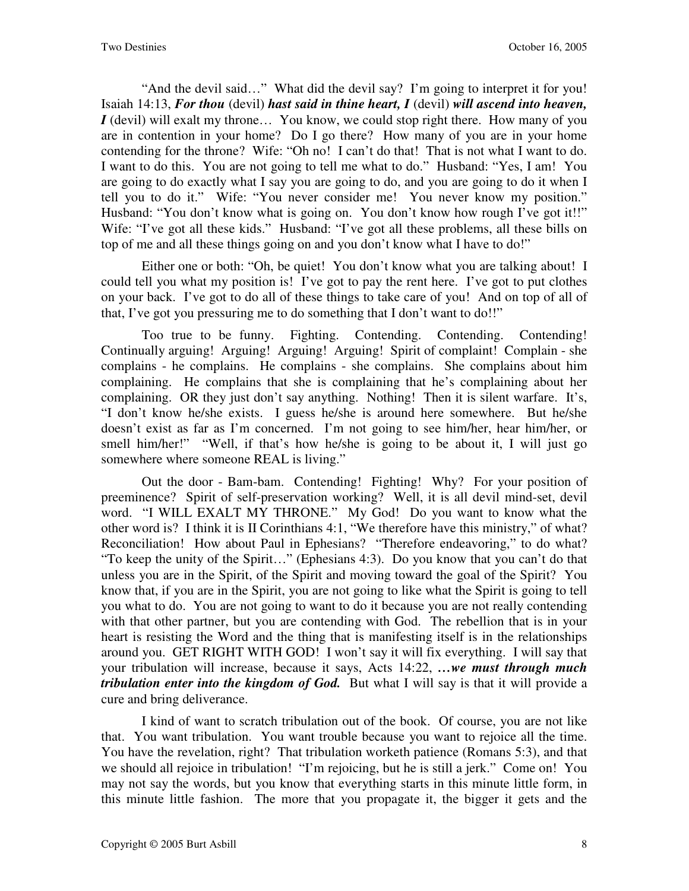"And the devil said…" What did the devil say? I'm going to interpret it for you! Isaiah 14:13, *For thou* (devil) *hast said in thine heart, I* (devil) *will ascend into heaven, I* (devil) will exalt my throne... You know, we could stop right there. How many of you are in contention in your home? Do I go there? How many of you are in your home contending for the throne? Wife: "Oh no! I can't do that! That is not what I want to do. I want to do this. You are not going to tell me what to do." Husband: "Yes, I am! You are going to do exactly what I say you are going to do, and you are going to do it when I tell you to do it." Wife: "You never consider me! You never know my position." Husband: "You don't know what is going on. You don't know how rough I've got it!!" Wife: "I've got all these kids." Husband: "I've got all these problems, all these bills on top of me and all these things going on and you don't know what I have to do!"

Either one or both: "Oh, be quiet! You don't know what you are talking about! I could tell you what my position is! I've got to pay the rent here. I've got to put clothes on your back. I've got to do all of these things to take care of you! And on top of all of that, I've got you pressuring me to do something that I don't want to do!!"

Too true to be funny. Fighting. Contending. Contending. Contending! Continually arguing! Arguing! Arguing! Arguing! Spirit of complaint! Complain - she complains - he complains. He complains - she complains. She complains about him complaining. He complains that she is complaining that he's complaining about her complaining. OR they just don't say anything. Nothing! Then it is silent warfare. It's, "I don't know he/she exists. I guess he/she is around here somewhere. But he/she doesn't exist as far as I'm concerned. I'm not going to see him/her, hear him/her, or smell him/her!" "Well, if that's how he/she is going to be about it, I will just go somewhere where someone REAL is living."

Out the door - Bam-bam. Contending! Fighting! Why? For your position of preeminence? Spirit of self-preservation working? Well, it is all devil mind-set, devil word. "I WILL EXALT MY THRONE." My God! Do you want to know what the other word is? I think it is II Corinthians 4:1, "We therefore have this ministry," of what? Reconciliation! How about Paul in Ephesians? "Therefore endeavoring," to do what? "To keep the unity of the Spirit…" (Ephesians 4:3). Do you know that you can't do that unless you are in the Spirit, of the Spirit and moving toward the goal of the Spirit? You know that, if you are in the Spirit, you are not going to like what the Spirit is going to tell you what to do. You are not going to want to do it because you are not really contending with that other partner, but you are contending with God. The rebellion that is in your heart is resisting the Word and the thing that is manifesting itself is in the relationships around you. GET RIGHT WITH GOD! I won't say it will fix everything. I will say that your tribulation will increase, because it says, Acts 14:22, *…we must through much tribulation enter into the kingdom of God.* But what I will say is that it will provide a cure and bring deliverance.

I kind of want to scratch tribulation out of the book. Of course, you are not like that. You want tribulation. You want trouble because you want to rejoice all the time. You have the revelation, right? That tribulation worketh patience (Romans 5:3), and that we should all rejoice in tribulation! "I'm rejoicing, but he is still a jerk." Come on! You may not say the words, but you know that everything starts in this minute little form, in this minute little fashion. The more that you propagate it, the bigger it gets and the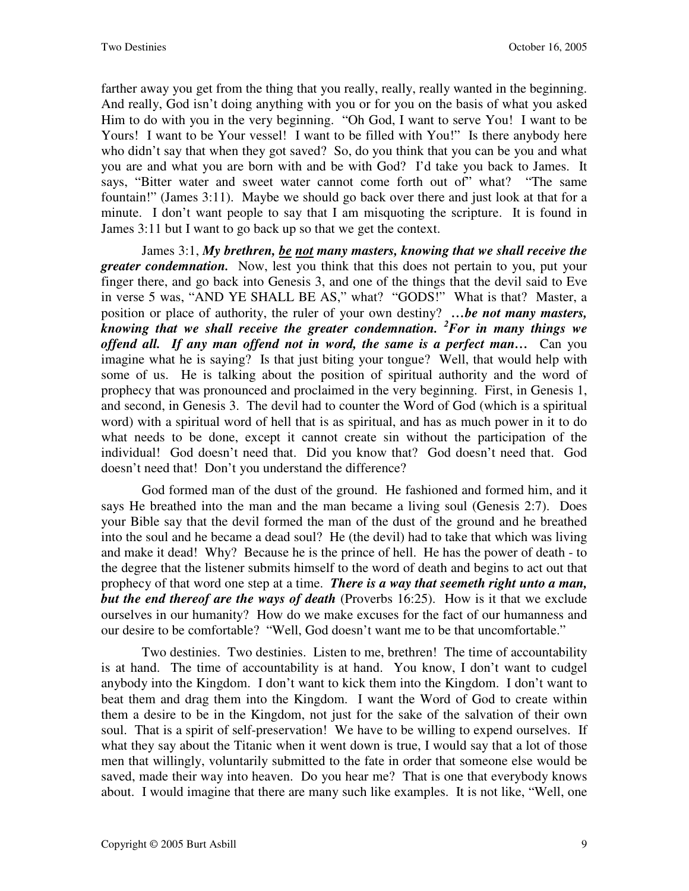farther away you get from the thing that you really, really, really wanted in the beginning. And really, God isn't doing anything with you or for you on the basis of what you asked Him to do with you in the very beginning. "Oh God, I want to serve You! I want to be Yours! I want to be Your vessel! I want to be filled with You!" Is there anybody here who didn't say that when they got saved? So, do you think that you can be you and what you are and what you are born with and be with God? I'd take you back to James. It says, "Bitter water and sweet water cannot come forth out of" what? "The same fountain!" (James 3:11). Maybe we should go back over there and just look at that for a minute. I don't want people to say that I am misquoting the scripture. It is found in James 3:11 but I want to go back up so that we get the context.

James 3:1, *My brethren, be not many masters, knowing that we shall receive the greater condemnation.* Now, lest you think that this does not pertain to you, put your finger there, and go back into Genesis 3, and one of the things that the devil said to Eve in verse 5 was, "AND YE SHALL BE AS," what? "GODS!" What is that? Master, a position or place of authority, the ruler of your own destiny? *…be not many masters, knowing that we shall receive the greater condemnation. <sup>2</sup>For in many things we offend all. If any man offend not in word, the same is a perfect man…* Can you imagine what he is saying? Is that just biting your tongue? Well, that would help with some of us. He is talking about the position of spiritual authority and the word of prophecy that was pronounced and proclaimed in the very beginning. First, in Genesis 1, and second, in Genesis 3. The devil had to counter the Word of God (which is a spiritual word) with a spiritual word of hell that is as spiritual, and has as much power in it to do what needs to be done, except it cannot create sin without the participation of the individual! God doesn't need that. Did you know that? God doesn't need that. God doesn't need that! Don't you understand the difference?

God formed man of the dust of the ground. He fashioned and formed him, and it says He breathed into the man and the man became a living soul (Genesis 2:7). Does your Bible say that the devil formed the man of the dust of the ground and he breathed into the soul and he became a dead soul? He (the devil) had to take that which was living and make it dead! Why? Because he is the prince of hell. He has the power of death - to the degree that the listener submits himself to the word of death and begins to act out that prophecy of that word one step at a time. *There is a way that seemeth right unto a man, but the end thereof are the ways of death* (Proverbs 16:25). How is it that we exclude ourselves in our humanity? How do we make excuses for the fact of our humanness and our desire to be comfortable? "Well, God doesn't want me to be that uncomfortable."

Two destinies. Two destinies. Listen to me, brethren! The time of accountability is at hand. The time of accountability is at hand. You know, I don't want to cudgel anybody into the Kingdom. I don't want to kick them into the Kingdom. I don't want to beat them and drag them into the Kingdom. I want the Word of God to create within them a desire to be in the Kingdom, not just for the sake of the salvation of their own soul. That is a spirit of self-preservation! We have to be willing to expend ourselves. If what they say about the Titanic when it went down is true, I would say that a lot of those men that willingly, voluntarily submitted to the fate in order that someone else would be saved, made their way into heaven. Do you hear me? That is one that everybody knows about. I would imagine that there are many such like examples. It is not like, "Well, one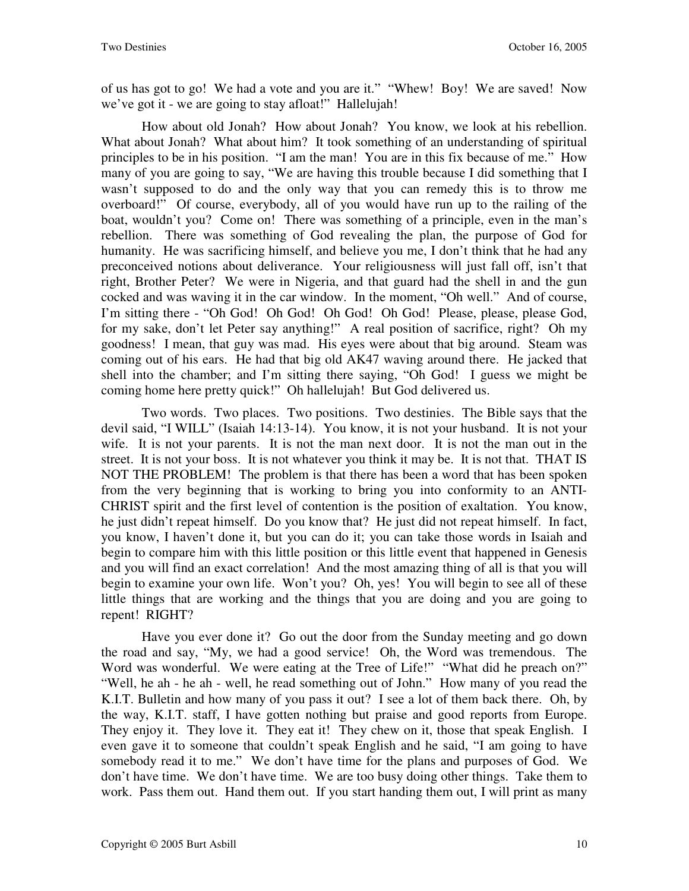of us has got to go! We had a vote and you are it." "Whew! Boy! We are saved! Now we've got it - we are going to stay afloat!" Hallelujah!

How about old Jonah? How about Jonah? You know, we look at his rebellion. What about Jonah? What about him? It took something of an understanding of spiritual principles to be in his position. "I am the man! You are in this fix because of me." How many of you are going to say, "We are having this trouble because I did something that I wasn't supposed to do and the only way that you can remedy this is to throw me overboard!" Of course, everybody, all of you would have run up to the railing of the boat, wouldn't you? Come on! There was something of a principle, even in the man's rebellion. There was something of God revealing the plan, the purpose of God for humanity. He was sacrificing himself, and believe you me, I don't think that he had any preconceived notions about deliverance. Your religiousness will just fall off, isn't that right, Brother Peter? We were in Nigeria, and that guard had the shell in and the gun cocked and was waving it in the car window. In the moment, "Oh well." And of course, I'm sitting there - "Oh God! Oh God! Oh God! Oh God! Please, please, please God, for my sake, don't let Peter say anything!" A real position of sacrifice, right? Oh my goodness! I mean, that guy was mad. His eyes were about that big around. Steam was coming out of his ears. He had that big old AK47 waving around there. He jacked that shell into the chamber; and I'm sitting there saying, "Oh God! I guess we might be coming home here pretty quick!" Oh hallelujah! But God delivered us.

Two words. Two places. Two positions. Two destinies. The Bible says that the devil said, "I WILL" (Isaiah 14:13-14). You know, it is not your husband. It is not your wife. It is not your parents. It is not the man next door. It is not the man out in the street. It is not your boss. It is not whatever you think it may be. It is not that. THAT IS NOT THE PROBLEM! The problem is that there has been a word that has been spoken from the very beginning that is working to bring you into conformity to an ANTI-CHRIST spirit and the first level of contention is the position of exaltation. You know, he just didn't repeat himself. Do you know that? He just did not repeat himself. In fact, you know, I haven't done it, but you can do it; you can take those words in Isaiah and begin to compare him with this little position or this little event that happened in Genesis and you will find an exact correlation! And the most amazing thing of all is that you will begin to examine your own life. Won't you? Oh, yes! You will begin to see all of these little things that are working and the things that you are doing and you are going to repent! RIGHT?

Have you ever done it? Go out the door from the Sunday meeting and go down the road and say, "My, we had a good service! Oh, the Word was tremendous. The Word was wonderful. We were eating at the Tree of Life!" "What did he preach on?" "Well, he ah - he ah - well, he read something out of John." How many of you read the K.I.T. Bulletin and how many of you pass it out? I see a lot of them back there. Oh, by the way, K.I.T. staff, I have gotten nothing but praise and good reports from Europe. They enjoy it. They love it. They eat it! They chew on it, those that speak English. I even gave it to someone that couldn't speak English and he said, "I am going to have somebody read it to me." We don't have time for the plans and purposes of God. We don't have time. We don't have time. We are too busy doing other things. Take them to work. Pass them out. Hand them out. If you start handing them out, I will print as many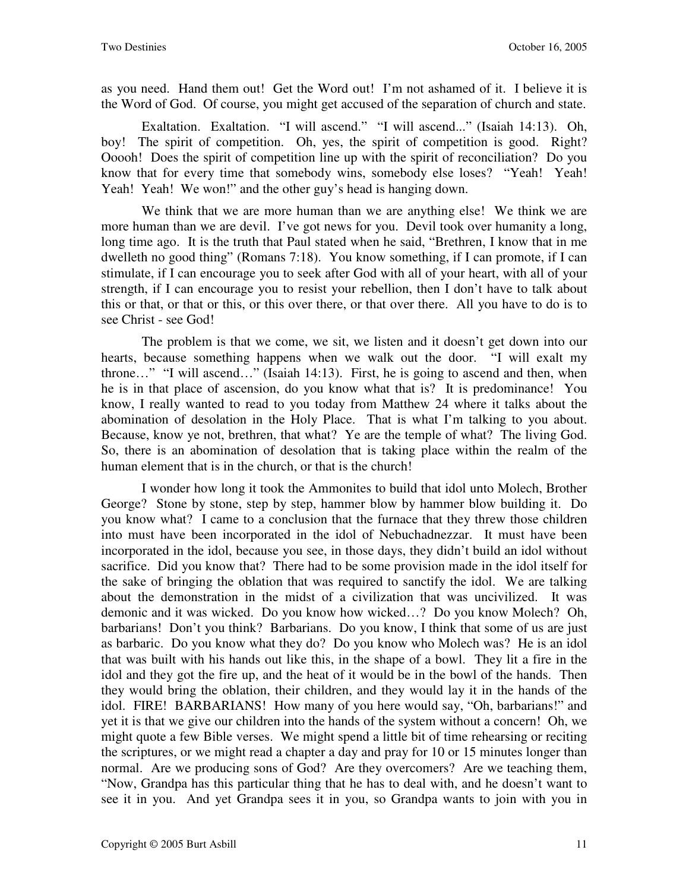as you need. Hand them out! Get the Word out! I'm not ashamed of it. I believe it is the Word of God. Of course, you might get accused of the separation of church and state.

Exaltation. Exaltation. "I will ascend." "I will ascend..." (Isaiah 14:13). Oh, boy! The spirit of competition. Oh, yes, the spirit of competition is good. Right? Ooooh! Does the spirit of competition line up with the spirit of reconciliation? Do you know that for every time that somebody wins, somebody else loses? "Yeah! Yeah! Yeah! Yeah! We won!" and the other guy's head is hanging down.

We think that we are more human than we are anything else! We think we are more human than we are devil. I've got news for you. Devil took over humanity a long, long time ago. It is the truth that Paul stated when he said, "Brethren, I know that in me dwelleth no good thing" (Romans 7:18). You know something, if I can promote, if I can stimulate, if I can encourage you to seek after God with all of your heart, with all of your strength, if I can encourage you to resist your rebellion, then I don't have to talk about this or that, or that or this, or this over there, or that over there. All you have to do is to see Christ - see God!

The problem is that we come, we sit, we listen and it doesn't get down into our hearts, because something happens when we walk out the door. "I will exalt my throne…" "I will ascend…" (Isaiah 14:13). First, he is going to ascend and then, when he is in that place of ascension, do you know what that is? It is predominance! You know, I really wanted to read to you today from Matthew 24 where it talks about the abomination of desolation in the Holy Place. That is what I'm talking to you about. Because, know ye not, brethren, that what? Ye are the temple of what? The living God. So, there is an abomination of desolation that is taking place within the realm of the human element that is in the church, or that is the church!

I wonder how long it took the Ammonites to build that idol unto Molech, Brother George? Stone by stone, step by step, hammer blow by hammer blow building it. Do you know what? I came to a conclusion that the furnace that they threw those children into must have been incorporated in the idol of Nebuchadnezzar. It must have been incorporated in the idol, because you see, in those days, they didn't build an idol without sacrifice. Did you know that? There had to be some provision made in the idol itself for the sake of bringing the oblation that was required to sanctify the idol. We are talking about the demonstration in the midst of a civilization that was uncivilized. It was demonic and it was wicked. Do you know how wicked…? Do you know Molech? Oh, barbarians! Don't you think? Barbarians. Do you know, I think that some of us are just as barbaric. Do you know what they do? Do you know who Molech was? He is an idol that was built with his hands out like this, in the shape of a bowl. They lit a fire in the idol and they got the fire up, and the heat of it would be in the bowl of the hands. Then they would bring the oblation, their children, and they would lay it in the hands of the idol. FIRE! BARBARIANS! How many of you here would say, "Oh, barbarians!" and yet it is that we give our children into the hands of the system without a concern! Oh, we might quote a few Bible verses. We might spend a little bit of time rehearsing or reciting the scriptures, or we might read a chapter a day and pray for 10 or 15 minutes longer than normal. Are we producing sons of God? Are they overcomers? Are we teaching them, "Now, Grandpa has this particular thing that he has to deal with, and he doesn't want to see it in you. And yet Grandpa sees it in you, so Grandpa wants to join with you in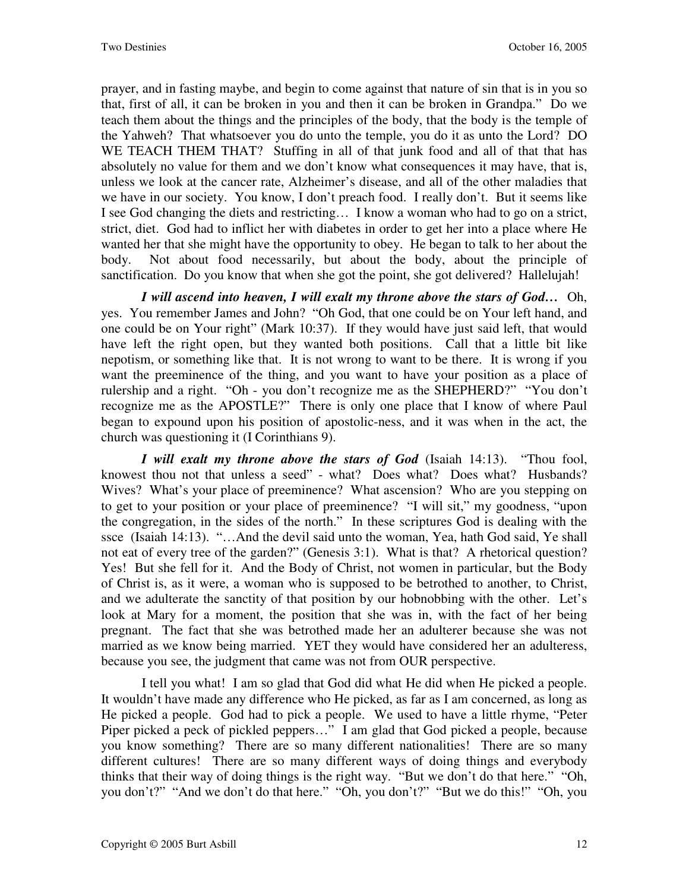prayer, and in fasting maybe, and begin to come against that nature of sin that is in you so that, first of all, it can be broken in you and then it can be broken in Grandpa." Do we teach them about the things and the principles of the body, that the body is the temple of the Yahweh? That whatsoever you do unto the temple, you do it as unto the Lord? DO WE TEACH THEM THAT? Stuffing in all of that junk food and all of that that has absolutely no value for them and we don't know what consequences it may have, that is, unless we look at the cancer rate, Alzheimer's disease, and all of the other maladies that we have in our society. You know, I don't preach food. I really don't. But it seems like I see God changing the diets and restricting… I know a woman who had to go on a strict, strict, diet. God had to inflict her with diabetes in order to get her into a place where He wanted her that she might have the opportunity to obey. He began to talk to her about the body. Not about food necessarily, but about the body, about the principle of sanctification. Do you know that when she got the point, she got delivered? Hallelujah!

*I will ascend into heaven, I will exalt my throne above the stars of God…* Oh, yes. You remember James and John? "Oh God, that one could be on Your left hand, and one could be on Your right" (Mark 10:37). If they would have just said left, that would have left the right open, but they wanted both positions. Call that a little bit like nepotism, or something like that. It is not wrong to want to be there. It is wrong if you want the preeminence of the thing, and you want to have your position as a place of rulership and a right. "Oh - you don't recognize me as the SHEPHERD?" "You don't recognize me as the APOSTLE?" There is only one place that I know of where Paul began to expound upon his position of apostolic-ness, and it was when in the act, the church was questioning it (I Corinthians 9).

*I will exalt my throne above the stars of God* (Isaiah 14:13). "Thou fool, knowest thou not that unless a seed" - what? Does what? Does what? Husbands? Wives? What's your place of preeminence? What ascension? Who are you stepping on to get to your position or your place of preeminence? "I will sit," my goodness, "upon the congregation, in the sides of the north." In these scriptures God is dealing with the ssce (Isaiah 14:13). "…And the devil said unto the woman, Yea, hath God said, Ye shall not eat of every tree of the garden?" (Genesis 3:1). What is that? A rhetorical question? Yes! But she fell for it. And the Body of Christ, not women in particular, but the Body of Christ is, as it were, a woman who is supposed to be betrothed to another, to Christ, and we adulterate the sanctity of that position by our hobnobbing with the other. Let's look at Mary for a moment, the position that she was in, with the fact of her being pregnant. The fact that she was betrothed made her an adulterer because she was not married as we know being married. YET they would have considered her an adulteress, because you see, the judgment that came was not from OUR perspective.

I tell you what! I am so glad that God did what He did when He picked a people. It wouldn't have made any difference who He picked, as far as I am concerned, as long as He picked a people. God had to pick a people. We used to have a little rhyme, "Peter Piper picked a peck of pickled peppers…" I am glad that God picked a people, because you know something? There are so many different nationalities! There are so many different cultures! There are so many different ways of doing things and everybody thinks that their way of doing things is the right way. "But we don't do that here." "Oh, you don't?" "And we don't do that here." "Oh, you don't?" "But we do this!" "Oh, you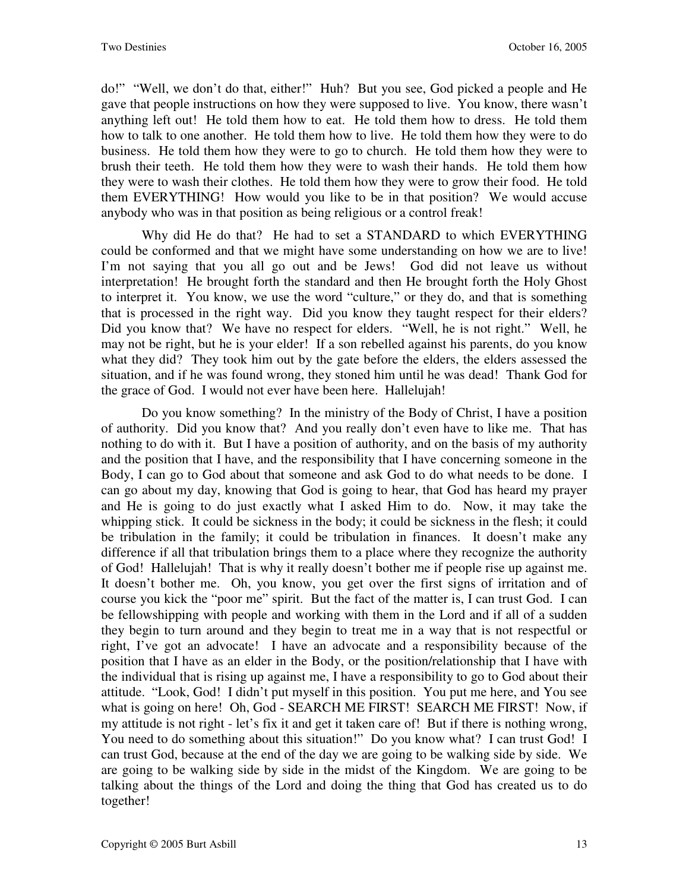do!" "Well, we don't do that, either!" Huh? But you see, God picked a people and He gave that people instructions on how they were supposed to live. You know, there wasn't anything left out! He told them how to eat. He told them how to dress. He told them how to talk to one another. He told them how to live. He told them how they were to do business. He told them how they were to go to church. He told them how they were to brush their teeth. He told them how they were to wash their hands. He told them how they were to wash their clothes. He told them how they were to grow their food. He told them EVERYTHING! How would you like to be in that position? We would accuse anybody who was in that position as being religious or a control freak!

Why did He do that? He had to set a STANDARD to which EVERYTHING could be conformed and that we might have some understanding on how we are to live! I'm not saying that you all go out and be Jews! God did not leave us without interpretation! He brought forth the standard and then He brought forth the Holy Ghost to interpret it. You know, we use the word "culture," or they do, and that is something that is processed in the right way. Did you know they taught respect for their elders? Did you know that? We have no respect for elders. "Well, he is not right." Well, he may not be right, but he is your elder! If a son rebelled against his parents, do you know what they did? They took him out by the gate before the elders, the elders assessed the situation, and if he was found wrong, they stoned him until he was dead! Thank God for the grace of God. I would not ever have been here. Hallelujah!

Do you know something? In the ministry of the Body of Christ, I have a position of authority. Did you know that? And you really don't even have to like me. That has nothing to do with it. But I have a position of authority, and on the basis of my authority and the position that I have, and the responsibility that I have concerning someone in the Body, I can go to God about that someone and ask God to do what needs to be done. I can go about my day, knowing that God is going to hear, that God has heard my prayer and He is going to do just exactly what I asked Him to do. Now, it may take the whipping stick. It could be sickness in the body; it could be sickness in the flesh; it could be tribulation in the family; it could be tribulation in finances. It doesn't make any difference if all that tribulation brings them to a place where they recognize the authority of God! Hallelujah! That is why it really doesn't bother me if people rise up against me. It doesn't bother me. Oh, you know, you get over the first signs of irritation and of course you kick the "poor me" spirit. But the fact of the matter is, I can trust God. I can be fellowshipping with people and working with them in the Lord and if all of a sudden they begin to turn around and they begin to treat me in a way that is not respectful or right, I've got an advocate! I have an advocate and a responsibility because of the position that I have as an elder in the Body, or the position/relationship that I have with the individual that is rising up against me, I have a responsibility to go to God about their attitude. "Look, God! I didn't put myself in this position. You put me here, and You see what is going on here! Oh, God - SEARCH ME FIRST! SEARCH ME FIRST! Now, if my attitude is not right - let's fix it and get it taken care of! But if there is nothing wrong, You need to do something about this situation!" Do you know what? I can trust God! I can trust God, because at the end of the day we are going to be walking side by side. We are going to be walking side by side in the midst of the Kingdom. We are going to be talking about the things of the Lord and doing the thing that God has created us to do together!